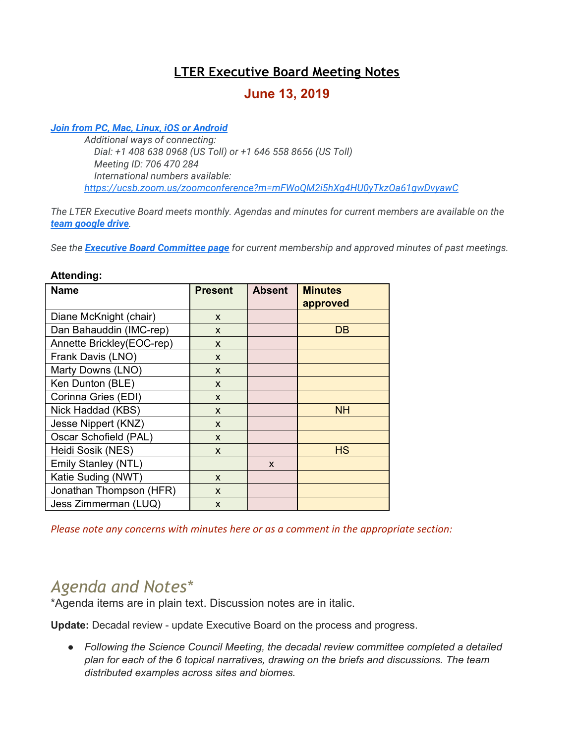# **LTER Executive Board Meeting Notes**

# **June 13, 2019**

#### *[Join from PC, Mac, Linux, iOS or Android](https://ucsb.zoom.us/j/706470284)*

*Additional ways of connecting: Dial: +1 408 638 0968 (US Toll) or +1 646 558 8656 (US Toll) Meeting ID: 706 470 284 International numbers available: <https://ucsb.zoom.us/zoomconference?m=mFWoQM2i5hXg4HU0yTkzOa61gwDvyawC>*

*The LTER Executive Board meets monthly. Agendas and minutes for current members are available on the [team google drive](https://drive.google.com/drive/folders/0AKaWwJjxt2VMUk9PVA).*

*See the [Executive Board Committee page](https://lternet.edu/committees/executive-board/) for current membership and approved minutes of past meetings.*

#### **Attending:**

| <b>Name</b>               | <b>Present</b> | <b>Absent</b> | <b>Minutes</b> |
|---------------------------|----------------|---------------|----------------|
|                           |                |               | approved       |
| Diane McKnight (chair)    | X              |               |                |
| Dan Bahauddin (IMC-rep)   | X              |               | DB             |
| Annette Brickley(EOC-rep) | $\mathsf{x}$   |               |                |
| Frank Davis (LNO)         | X              |               |                |
| Marty Downs (LNO)         | X              |               |                |
| Ken Dunton (BLE)          | $\mathsf{x}$   |               |                |
| Corinna Gries (EDI)       | X              |               |                |
| Nick Haddad (KBS)         | X              |               | <b>NH</b>      |
| Jesse Nippert (KNZ)       | $\mathsf{x}$   |               |                |
| Oscar Schofield (PAL)     | X              |               |                |
| Heidi Sosik (NES)         | $\mathsf{x}$   |               | <b>HS</b>      |
| Emily Stanley (NTL)       |                | X             |                |
| Katie Suding (NWT)        | X              |               |                |
| Jonathan Thompson (HFR)   | $\mathsf{x}$   |               |                |
| Jess Zimmerman (LUQ)      | $\mathsf{x}$   |               |                |

*Please note any concerns with minutes here or as a comment in the appropriate section:*

# *Agenda and Notes\**

\*Agenda items are in plain text. Discussion notes are in italic.

**Update:** Decadal review - update Executive Board on the process and progress.

*● Following the Science Council Meeting, the decadal review committee completed a detailed plan for each of the 6 topical narratives, drawing on the briefs and discussions. The team distributed examples across sites and biomes.*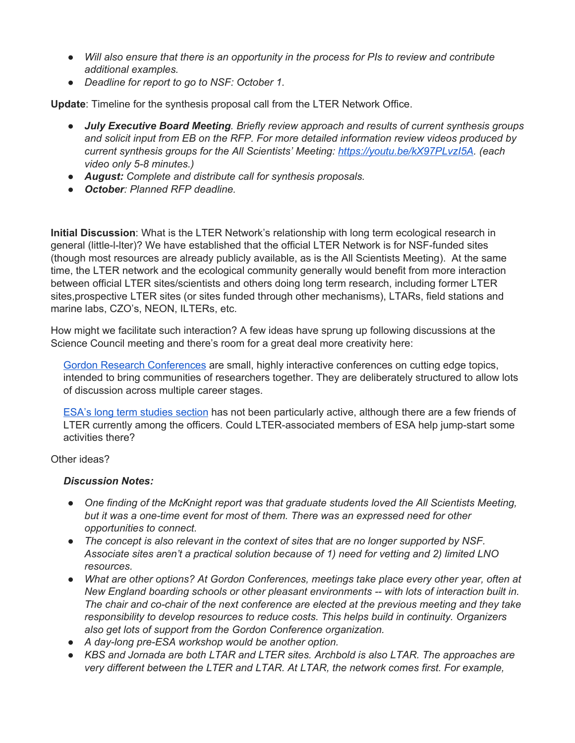- *● Will also ensure that there is an opportunity in the process for PIs to review and contribute additional examples.*
- *● Deadline for report to go to NSF: October 1.*

**Update**: Timeline for the synthesis proposal call from the LTER Network Office.

- *● July Executive Board Meeting. Briefly review approach and results of current synthesis groups and solicit input from EB on the RFP. For more detailed information review videos produced by current synthesis groups for the All Scientists' Meeting: <https://youtu.be/kX97PLvzI5A>. (each video only 5-8 minutes.)*
- *● August: Complete and distribute call for synthesis proposals.*
- *● October: Planned RFP deadline.*

**Initial Discussion**: What is the LTER Network's relationship with long term ecological research in general (little-l-lter)? We have established that the official LTER Network is for NSF-funded sites (though most resources are already publicly available, as is the All Scientists Meeting). At the same time, the LTER network and the ecological community generally would benefit from more interaction between official LTER sites/scientists and others doing long term research, including former LTER sites,prospective LTER sites (or sites funded through other mechanisms), LTARs, field stations and marine labs, CZO's, NEON, ILTERs, etc.

How might we facilitate such interaction? A few ideas have sprung up following discussions at the Science Council meeting and there's room for a great deal more creativity here:

Gordon Research [Conferences](https://www.grc.org/) are small, highly interactive conferences on cutting edge topics, intended to bring communities of researchers together. They are deliberately structured to allow lots of discussion across multiple career stages.

ESA's long term [studies](https://www.esa.org/ltss/) section has not been particularly active, although there are a few friends of LTER currently among the officers. Could LTER-associated members of ESA help jump-start some activities there?

### Other ideas?

#### *Discussion Notes:*

- *● One finding of the McKnight report was that graduate students loved the All Scientists Meeting, but it was a one-time event for most of them. There was an expressed need for other opportunities to connect.*
- *● The concept is also relevant in the context of sites that are no longer supported by NSF. Associate sites aren't a practical solution because of 1) need for vetting and 2) limited LNO resources.*
- *● What are other options? At Gordon Conferences, meetings take place every other year, often at New England boarding schools or other pleasant environments -- with lots of interaction built in. The chair and co-chair of the next conference are elected at the previous meeting and they take responsibility to develop resources to reduce costs. This helps build in continuity. Organizers also get lots of support from the Gordon Conference organization.*
- *● A day-long pre-ESA workshop would be another option.*
- *● KBS and Jornada are both LTAR and LTER sites. Archbold is also LTAR. The approaches are very different between the LTER and LTAR. At LTAR, the network comes first. For example,*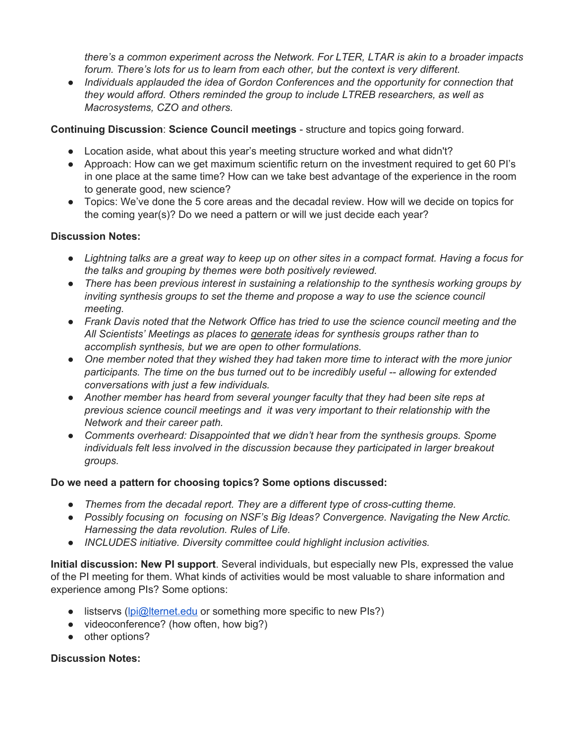*there's a common experiment across the Network. For LTER, LTAR is akin to a broader impacts forum. There's lots for us to learn from each other, but the context is very different.*

*● Individuals applauded the idea of Gordon Conferences and the opportunity for connection that they would afford. Others reminded the group to include LTREB researchers, as well as Macrosystems, CZO and others.*

# **Continuing Discussion**: **Science Council meetings** - structure and topics going forward.

- Location aside, what about this year's meeting structure worked and what didn't?
- Approach: How can we get maximum scientific return on the investment required to get 60 PI's in one place at the same time? How can we take best advantage of the experience in the room to generate good, new science?
- Topics: We've done the 5 core areas and the decadal review. How will we decide on topics for the coming year(s)? Do we need a pattern or will we just decide each year?

# **Discussion Notes:**

- Lightning talks are a great way to keep up on other sites in a compact format. Having a focus for *the talks and grouping by themes were both positively reviewed.*
- *● There has been previous interest in sustaining a relationship to the synthesis working groups by inviting synthesis groups to set the theme and propose a way to use the science council meeting.*
- *● Frank Davis noted that the Network Office has tried to use the science council meeting and the All Scientists' Meetings as places to generate ideas for synthesis groups rather than to accomplish synthesis, but we are open to other formulations.*
- *● One member noted that they wished they had taken more time to interact with the more junior participants. The time on the bus turned out to be incredibly useful -- allowing for extended conversations with just a few individuals.*
- *● Another member has heard from several younger faculty that they had been site reps at previous science council meetings and it was very important to their relationship with the Network and their career path.*
- *● Comments overheard: Disappointed that we didn't hear from the synthesis groups. Spome individuals felt less involved in the discussion because they participated in larger breakout groups.*

# **Do we need a pattern for choosing topics? Some options discussed:**

- *● Themes from the decadal report. They are a different type of cross-cutting theme.*
- *● Possibly focusing on focusing on NSF's Big Ideas? Convergence. Navigating the New Arctic. Harnessing the data revolution. Rules of Life.*
- *● INCLUDES initiative. Diversity committee could highlight inclusion activities.*

**Initial discussion: New PI support**. Several individuals, but especially new PIs, expressed the value of the PI meeting for them. What kinds of activities would be most valuable to share information and experience among PIs? Some options:

- listservs [\(lpi@lternet.edu](mailto:lpi@lternet.edu) or something more specific to new PIs?)
- videoconference? (how often, how big?)
- other options?

# **Discussion Notes:**